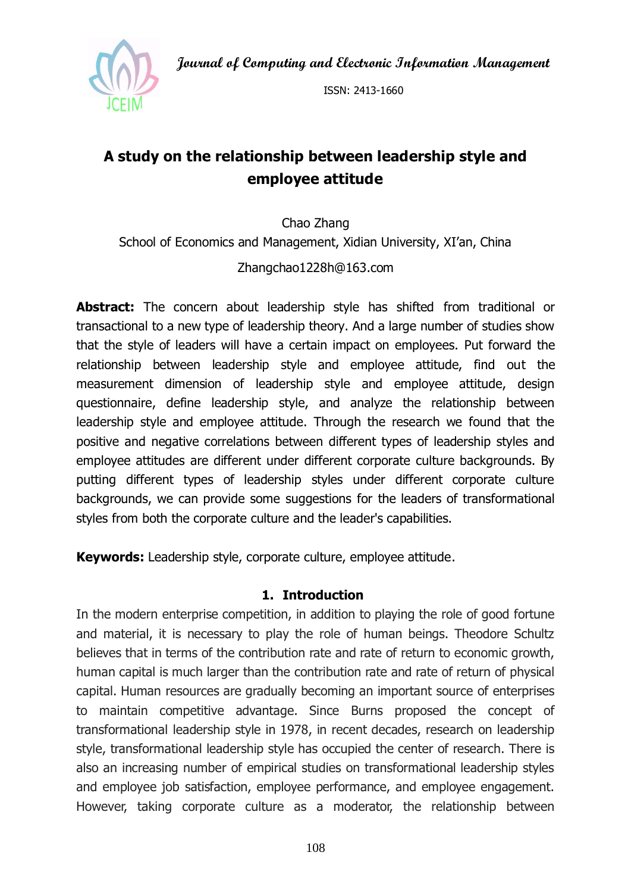**Journal of Computing and Electronic Information Management**



ISSN: 2413-1660

# **A study on the relationship between leadership style and employee attitude**

Chao Zhang School of Economics and Management, Xidian University, XI'an, China

#### Zhangchao1228h@163.com

**Abstract:** The concern about leadership style has shifted from traditional or transactional to a new type of leadership theory. And a large number of studies show that the style of leaders will have a certain impact on employees. Put forward the relationship between leadership style and employee attitude, find out the measurement dimension of leadership style and employee attitude, design questionnaire, define leadership style, and analyze the relationship between leadership style and employee attitude. Through the research we found that the positive and negative correlations between different types of leadership styles and employee attitudes are different under different corporate culture backgrounds. By putting different types of leadership styles under different corporate culture backgrounds, we can provide some suggestions for the leaders of transformational styles from both the corporate culture and the leader's capabilities.

**Keywords:** Leadership style, corporate culture, employee attitude.

#### **1. Introduction**

In the modern enterprise competition, in addition to playing the role of good fortune and material, it is necessary to play the role of human beings. Theodore Schultz believes that in terms of the contribution rate and rate of return to economic growth, human capital is much larger than the contribution rate and rate of return of physical capital. Human resources are gradually becoming an important source of enterprises to maintain competitive advantage. Since Burns proposed the concept of transformational leadership style in 1978, in recent decades, research on leadership style, transformational leadership style has occupied the center of research. There is also an increasing number of empirical studies on transformational leadership styles and employee job satisfaction, employee performance, and employee engagement. However, taking corporate culture as a moderator, the relationship between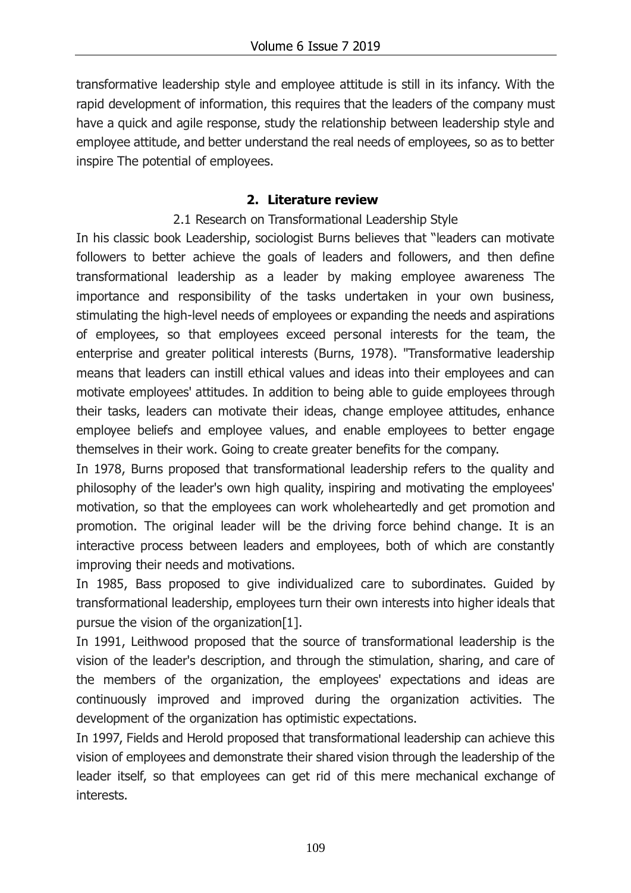transformative leadership style and employee attitude is still in its infancy. With the rapid development of information, this requires that the leaders of the company must have a quick and agile response, study the relationship between leadership style and employee attitude, and better understand the real needs of employees, so as to better inspire The potential of employees.

### **2. Literature review**

2.1 Research on Transformational Leadership Style

In his classic book Leadership, sociologist Burns believes that "leaders can motivate followers to better achieve the goals of leaders and followers, and then define transformational leadership as a leader by making employee awareness The importance and responsibility of the tasks undertaken in your own business, stimulating the high-level needs of employees or expanding the needs and aspirations of employees, so that employees exceed personal interests for the team, the enterprise and greater political interests (Burns, 1978). "Transformative leadership means that leaders can instill ethical values and ideas into their employees and can motivate employees' attitudes. In addition to being able to guide employees through their tasks, leaders can motivate their ideas, change employee attitudes, enhance employee beliefs and employee values, and enable employees to better engage themselves in their work. Going to create greater benefits for the company.

In 1978, Burns proposed that transformational leadership refers to the quality and philosophy of the leader's own high quality, inspiring and motivating the employees' motivation, so that the employees can work wholeheartedly and get promotion and promotion. The original leader will be the driving force behind change. It is an interactive process between leaders and employees, both of which are constantly improving their needs and motivations.

In 1985, Bass proposed to give individualized care to subordinates. Guided by transformational leadership, employees turn their own interests into higher ideals that pursue the vision of the organization[1].

In 1991, Leithwood proposed that the source of transformational leadership is the vision of the leader's description, and through the stimulation, sharing, and care of the members of the organization, the employees' expectations and ideas are continuously improved and improved during the organization activities. The development of the organization has optimistic expectations.

In 1997, Fields and Herold proposed that transformational leadership can achieve this vision of employees and demonstrate their shared vision through the leadership of the leader itself, so that employees can get rid of this mere mechanical exchange of interests.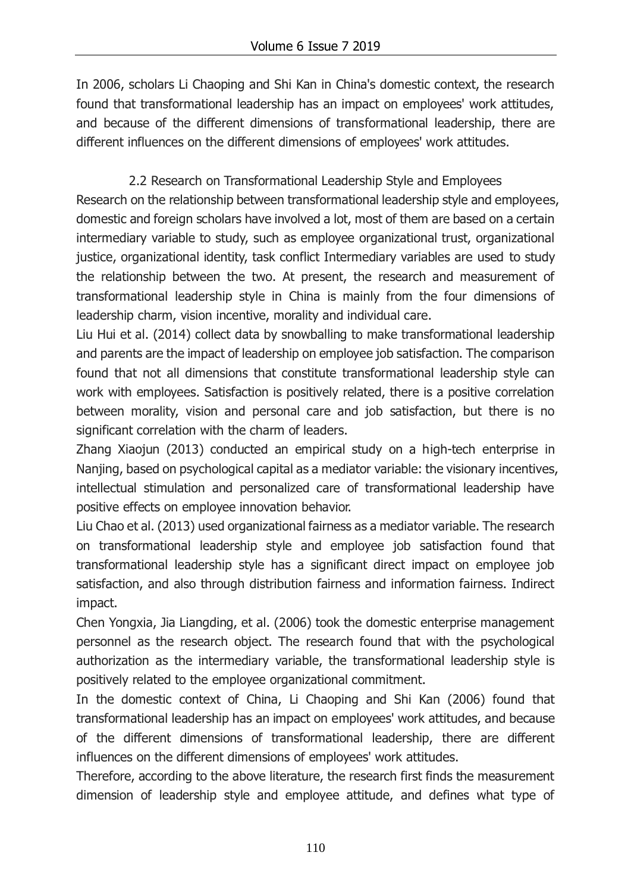In 2006, scholars Li Chaoping and Shi Kan in China's domestic context, the research found that transformational leadership has an impact on employees' work attitudes, and because of the different dimensions of transformational leadership, there are different influences on the different dimensions of employees' work attitudes.

2.2 Research on Transformational Leadership Style and Employees Research on the relationship between transformational leadership style and employees, domestic and foreign scholars have involved a lot, most of them are based on a certain intermediary variable to study, such as employee organizational trust, organizational justice, organizational identity, task conflict Intermediary variables are used to study the relationship between the two. At present, the research and measurement of transformational leadership style in China is mainly from the four dimensions of leadership charm, vision incentive, morality and individual care.

Liu Hui et al. (2014) collect data by snowballing to make transformational leadership and parents are the impact of leadership on employee job satisfaction. The comparison found that not all dimensions that constitute transformational leadership style can work with employees. Satisfaction is positively related, there is a positive correlation between morality, vision and personal care and job satisfaction, but there is no significant correlation with the charm of leaders.

Zhang Xiaojun (2013) conducted an empirical study on a high-tech enterprise in Nanjing, based on psychological capital as a mediator variable: the visionary incentives, intellectual stimulation and personalized care of transformational leadership have positive effects on employee innovation behavior.

Liu Chao et al. (2013) used organizational fairness as a mediator variable. The research on transformational leadership style and employee job satisfaction found that transformational leadership style has a significant direct impact on employee job satisfaction, and also through distribution fairness and information fairness. Indirect impact.

Chen Yongxia, Jia Liangding, et al. (2006) took the domestic enterprise management personnel as the research object. The research found that with the psychological authorization as the intermediary variable, the transformational leadership style is positively related to the employee organizational commitment.

In the domestic context of China, Li Chaoping and Shi Kan (2006) found that transformational leadership has an impact on employees' work attitudes, and because of the different dimensions of transformational leadership, there are different influences on the different dimensions of employees' work attitudes.

Therefore, according to the above literature, the research first finds the measurement dimension of leadership style and employee attitude, and defines what type of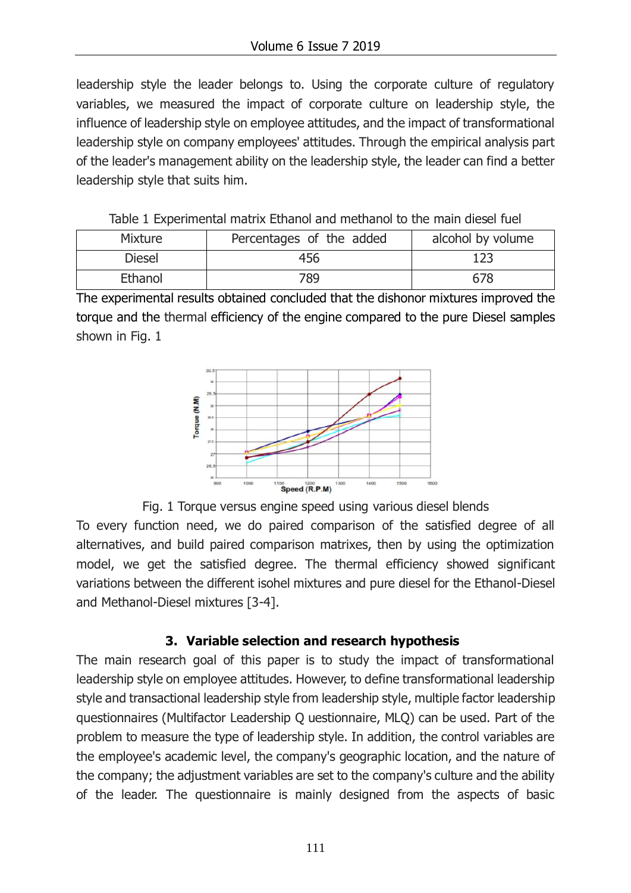leadership style the leader belongs to. Using the corporate culture of regulatory variables, we measured the impact of corporate culture on leadership style, the influence of leadership style on employee attitudes, and the impact of transformational leadership style on company employees' attitudes. Through the empirical analysis part of the leader's management ability on the leadership style, the leader can find a better leadership style that suits him.

Table 1 Experimental matrix Ethanol and methanol to the main diesel fuel

| Mixture       | Percentages of the added | alcohol by volume |
|---------------|--------------------------|-------------------|
| <b>Diesel</b> | 456                      | 123               |
| Ethanol       | 789                      | 678               |

The experimental results obtained concluded that the dishonor mixtures improved the torque and the thermal efficiency of the engine compared to the pure Diesel samples shown in Fig. 1





To every function need, we do paired comparison of the satisfied degree of all alternatives, and build paired comparison matrixes, then by using the optimization model, we get the satisfied degree. The thermal efficiency showed significant variations between the different isohel mixtures and pure diesel for the Ethanol-Diesel and Methanol-Diesel mixtures [3-4].

## **3. Variable selection and research hypothesis**

The main research goal of this paper is to study the impact of transformational leadership style on employee attitudes. However, to define transformational leadership style and transactional leadership style from leadership style, multiple factor leadership questionnaires (Multifactor Leadership Q uestionnaire, MLQ) can be used. Part of the problem to measure the type of leadership style. In addition, the control variables are the employee's academic level, the company's geographic location, and the nature of the company; the adjustment variables are set to the company's culture and the ability of the leader. The questionnaire is mainly designed from the aspects of basic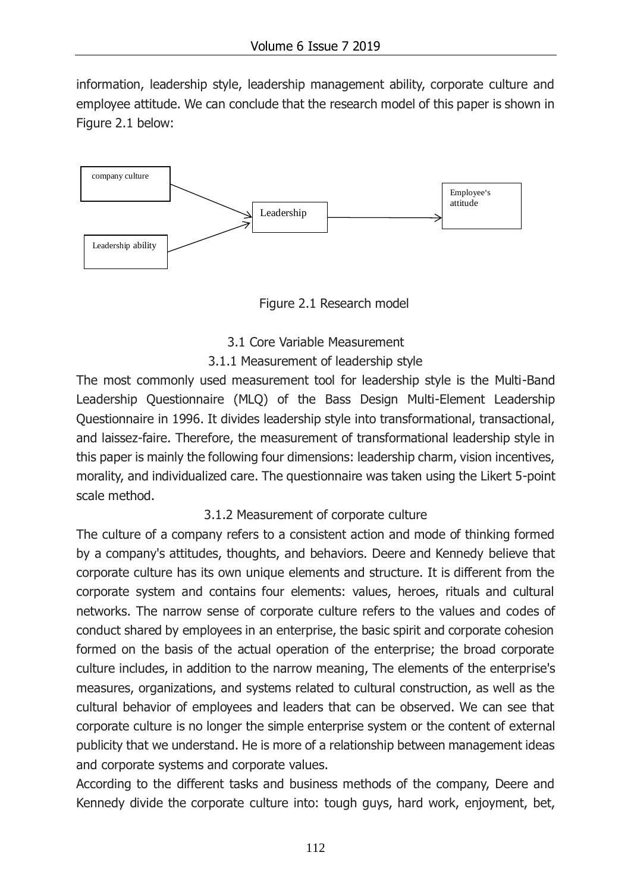information, leadership style, leadership management ability, corporate culture and employee attitude. We can conclude that the research model of this paper is shown in Figure 2.1 below:



Figure 2.1 Research model

3.1 Core Variable Measurement

#### 3.1.1 Measurement of leadership style

The most commonly used measurement tool for leadership style is the Multi-Band Leadership Questionnaire (MLQ) of the Bass Design Multi-Element Leadership Questionnaire in 1996. It divides leadership style into transformational, transactional, and laissez-faire. Therefore, the measurement of transformational leadership style in this paper is mainly the following four dimensions: leadership charm, vision incentives, morality, and individualized care. The questionnaire was taken using the Likert 5-point scale method.

#### 3.1.2 Measurement of corporate culture

The culture of a company refers to a consistent action and mode of thinking formed by a company's attitudes, thoughts, and behaviors. Deere and Kennedy believe that corporate culture has its own unique elements and structure. It is different from the corporate system and contains four elements: values, heroes, rituals and cultural networks. The narrow sense of corporate culture refers to the values and codes of conduct shared by employees in an enterprise, the basic spirit and corporate cohesion formed on the basis of the actual operation of the enterprise; the broad corporate culture includes, in addition to the narrow meaning, The elements of the enterprise's measures, organizations, and systems related to cultural construction, as well as the cultural behavior of employees and leaders that can be observed. We can see that corporate culture is no longer the simple enterprise system or the content of external publicity that we understand. He is more of a relationship between management ideas and corporate systems and corporate values.

According to the different tasks and business methods of the company, Deere and Kennedy divide the corporate culture into: tough guys, hard work, enjoyment, bet,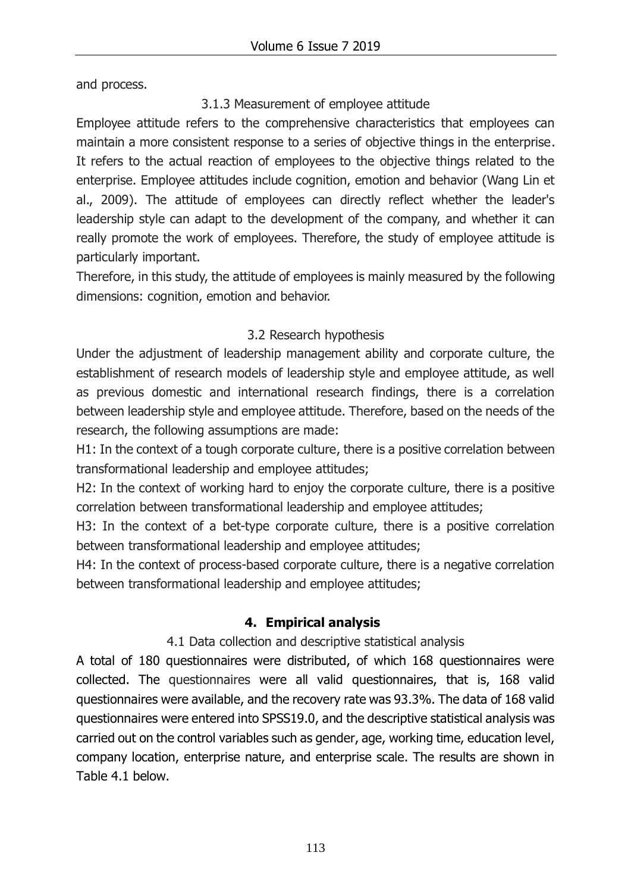and process.

3.1.3 Measurement of employee attitude

Employee attitude refers to the comprehensive characteristics that employees can maintain a more consistent response to a series of objective things in the enterprise. It refers to the actual reaction of employees to the objective things related to the enterprise. Employee attitudes include cognition, emotion and behavior (Wang Lin et al., 2009). The attitude of employees can directly reflect whether the leader's leadership style can adapt to the development of the company, and whether it can really promote the work of employees. Therefore, the study of employee attitude is particularly important.

Therefore, in this study, the attitude of employees is mainly measured by the following dimensions: cognition, emotion and behavior.

## 3.2 Research hypothesis

Under the adjustment of leadership management ability and corporate culture, the establishment of research models of leadership style and employee attitude, as well as previous domestic and international research findings, there is a correlation between leadership style and employee attitude. Therefore, based on the needs of the research, the following assumptions are made:

H1: In the context of a tough corporate culture, there is a positive correlation between transformational leadership and employee attitudes;

H2: In the context of working hard to enjoy the corporate culture, there is a positive correlation between transformational leadership and employee attitudes;

H3: In the context of a bet-type corporate culture, there is a positive correlation between transformational leadership and employee attitudes;

H4: In the context of process-based corporate culture, there is a negative correlation between transformational leadership and employee attitudes;

## **4. Empirical analysis**

#### 4.1 Data collection and descriptive statistical analysis

A total of 180 questionnaires were distributed, of which 168 questionnaires were collected. The questionnaires were all valid questionnaires, that is, 168 valid questionnaires were available, and the recovery rate was 93.3%. The data of 168 valid questionnaires were entered into SPSS19.0, and the descriptive statistical analysis was carried out on the control variables such as gender, age, working time, education level, company location, enterprise nature, and enterprise scale. The results are shown in Table 4.1 below.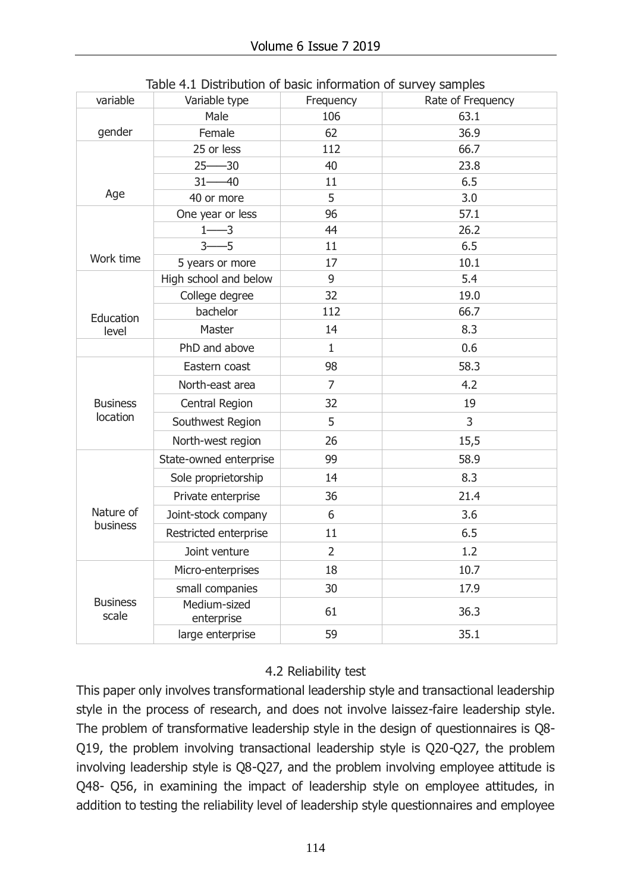| variable                 | Variable type              | Frequency      | Rate of Frequency |
|--------------------------|----------------------------|----------------|-------------------|
|                          | Male                       | 106            | 63.1              |
| gender                   | Female                     | 62             | 36.9              |
|                          | 25 or less                 | 112            | 66.7              |
|                          | $25 - 30$                  | 40             | 23.8              |
|                          | $31 - 40$                  | 11             | 6.5               |
| Age                      | 40 or more                 | 5              | 3.0               |
|                          | One year or less           | 96             | 57.1              |
|                          | $1 - 3$                    | 44             | 26.2              |
| Work time                | $-5$<br>$3-$               | 11             | 6.5               |
|                          | 5 years or more            | 17             | 10.1              |
|                          | High school and below      | 9              | 5.4               |
|                          | College degree             | 32             | 19.0              |
| Education                | bachelor                   | 112            | 66.7              |
| level                    | Master                     | 14             | 8.3               |
|                          | PhD and above              | $\mathbf{1}$   | 0.6               |
|                          | Eastern coast              | 98             | 58.3              |
|                          | North-east area            | $\overline{7}$ | 4.2               |
| <b>Business</b>          | Central Region             | 32             | 19                |
| location                 | Southwest Region           | 5              | $\mathsf{3}$      |
|                          | North-west region          | 26             | 15,5              |
|                          | State-owned enterprise     | 99             | 58.9              |
|                          | Sole proprietorship        | 14             | 8.3               |
|                          | Private enterprise         | 36             | 21.4              |
| Nature of                | Joint-stock company        | 6              | 3.6               |
| business                 | Restricted enterprise      | 11             | 6.5               |
|                          | Joint venture              | $\overline{2}$ | 1.2               |
|                          | Micro-enterprises          | 18             | 10.7              |
|                          | small companies            | 30             | 17.9              |
| <b>Business</b><br>scale | Medium-sized<br>enterprise | 61             | 36.3              |
|                          | large enterprise           | 59             | 35.1              |

Table 4.1 Distribution of basic information of survey samples

#### 4.2 Reliability test

This paper only involves transformational leadership style and transactional leadership style in the process of research, and does not involve laissez-faire leadership style. The problem of transformative leadership style in the design of questionnaires is Q8- Q19, the problem involving transactional leadership style is Q20-Q27, the problem involving leadership style is Q8-Q27, and the problem involving employee attitude is Q48- Q56, in examining the impact of leadership style on employee attitudes, in addition to testing the reliability level of leadership style questionnaires and employee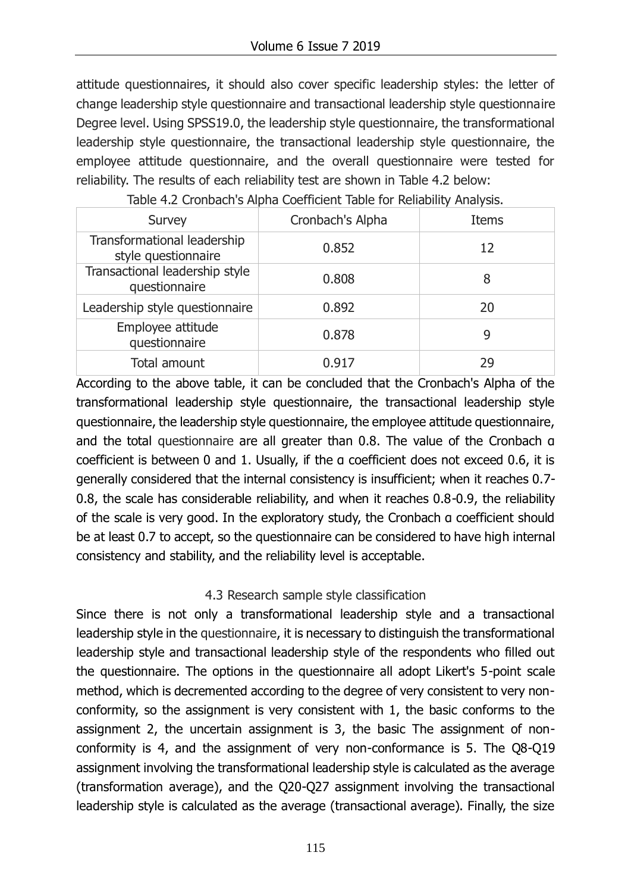attitude questionnaires, it should also cover specific leadership styles: the letter of change leadership style questionnaire and transactional leadership style questionnaire Degree level. Using SPSS19.0, the leadership style questionnaire, the transformational leadership style questionnaire, the transactional leadership style questionnaire, the employee attitude questionnaire, and the overall questionnaire were tested for reliability. The results of each reliability test are shown in Table 4.2 below:

| Survey                                             | Cronbach's Alpha | <b>Items</b> |
|----------------------------------------------------|------------------|--------------|
| Transformational leadership<br>style questionnaire | 0.852            | 12           |
| Transactional leadership style<br>questionnaire    | 0.808            | 8            |
| Leadership style questionnaire                     | 0.892            | 20           |
| Employee attitude<br>questionnaire                 | 0.878            | 9            |
| Total amount                                       | 0.917            | 29           |

Table 4.2 Cronbach's Alpha Coefficient Table for Reliability Analysis.

According to the above table, it can be concluded that the Cronbach's Alpha of the transformational leadership style questionnaire, the transactional leadership style questionnaire, the leadership style questionnaire, the employee attitude questionnaire, and the total questionnaire are all greater than 0.8. The value of the Cronbach α coefficient is between 0 and 1. Usually, if the α coefficient does not exceed 0.6, it is generally considered that the internal consistency is insufficient; when it reaches 0.7- 0.8, the scale has considerable reliability, and when it reaches 0.8-0.9, the reliability of the scale is very good. In the exploratory study, the Cronbach α coefficient should be at least 0.7 to accept, so the questionnaire can be considered to have high internal consistency and stability, and the reliability level is acceptable.

#### 4.3 Research sample style classification

Since there is not only a transformational leadership style and a transactional leadership style in the questionnaire, it is necessary to distinguish the transformational leadership style and transactional leadership style of the respondents who filled out the questionnaire. The options in the questionnaire all adopt Likert's 5-point scale method, which is decremented according to the degree of very consistent to very nonconformity, so the assignment is very consistent with 1, the basic conforms to the assignment 2, the uncertain assignment is 3, the basic The assignment of nonconformity is 4, and the assignment of very non-conformance is 5. The Q8-Q19 assignment involving the transformational leadership style is calculated as the average (transformation average), and the Q20-Q27 assignment involving the transactional leadership style is calculated as the average (transactional average). Finally, the size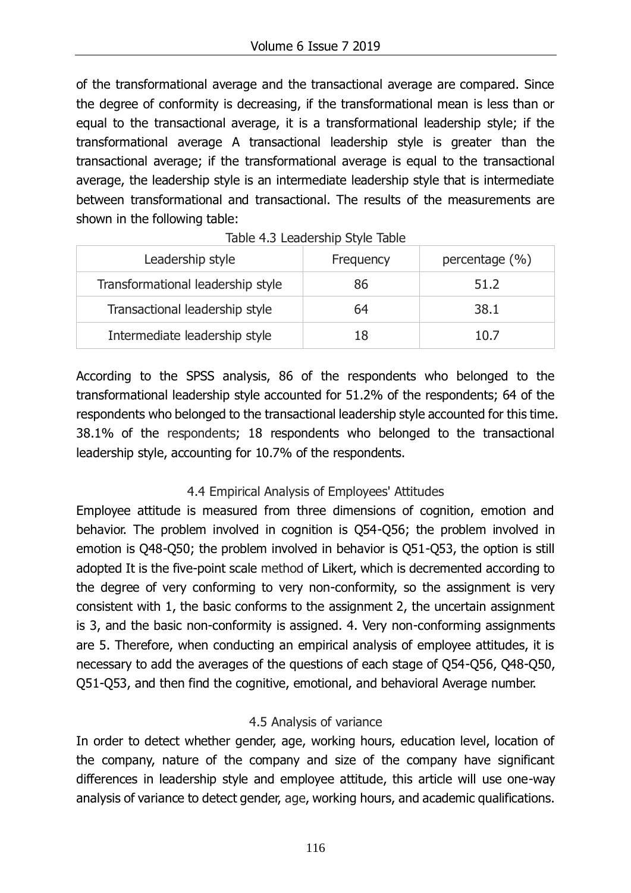of the transformational average and the transactional average are compared. Since the degree of conformity is decreasing, if the transformational mean is less than or equal to the transactional average, it is a transformational leadership style; if the transformational average A transactional leadership style is greater than the transactional average; if the transformational average is equal to the transactional average, the leadership style is an intermediate leadership style that is intermediate between transformational and transactional. The results of the measurements are shown in the following table:

| Leadership style                  | Frequency | percentage $(\% )$ |
|-----------------------------------|-----------|--------------------|
| Transformational leadership style | 86        | 51.2               |
| Transactional leadership style    | 64        | 38.1               |
| Intermediate leadership style     | 18        | 10.7               |

Table 4.3 Leadership Style Table

According to the SPSS analysis, 86 of the respondents who belonged to the transformational leadership style accounted for 51.2% of the respondents; 64 of the respondents who belonged to the transactional leadership style accounted for this time. 38.1% of the respondents; 18 respondents who belonged to the transactional leadership style, accounting for 10.7% of the respondents.

## 4.4 Empirical Analysis of Employees' Attitudes

Employee attitude is measured from three dimensions of cognition, emotion and behavior. The problem involved in cognition is Q54-Q56; the problem involved in emotion is Q48-Q50; the problem involved in behavior is Q51-Q53, the option is still adopted It is the five-point scale method of Likert, which is decremented according to the degree of very conforming to very non-conformity, so the assignment is very consistent with 1, the basic conforms to the assignment 2, the uncertain assignment is 3, and the basic non-conformity is assigned. 4. Very non-conforming assignments are 5. Therefore, when conducting an empirical analysis of employee attitudes, it is necessary to add the averages of the questions of each stage of Q54-Q56, Q48-Q50, Q51-Q53, and then find the cognitive, emotional, and behavioral Average number.

## 4.5 Analysis of variance

In order to detect whether gender, age, working hours, education level, location of the company, nature of the company and size of the company have significant differences in leadership style and employee attitude, this article will use one-way analysis of variance to detect gender, age, working hours, and academic qualifications.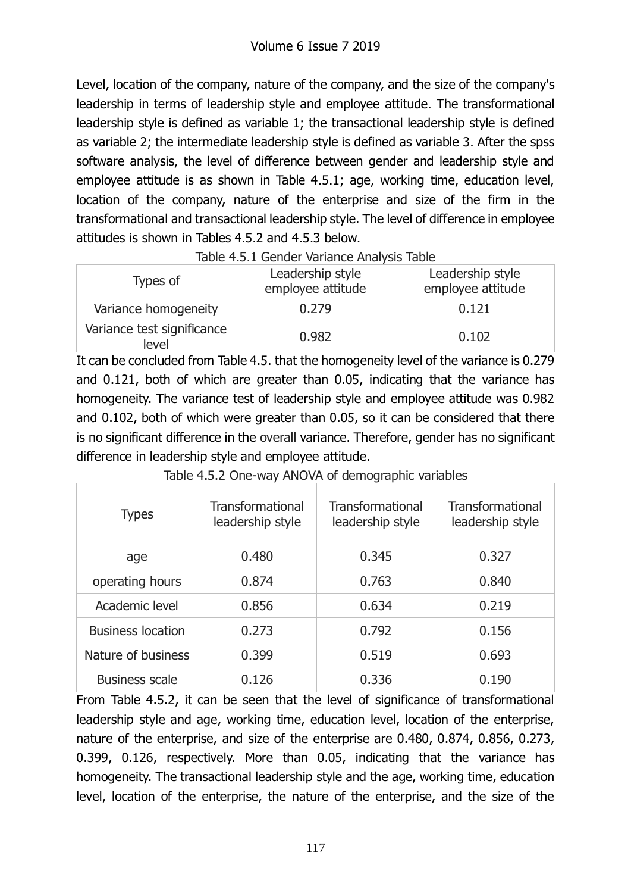Level, location of the company, nature of the company, and the size of the company's leadership in terms of leadership style and employee attitude. The transformational leadership style is defined as variable 1; the transactional leadership style is defined as variable 2; the intermediate leadership style is defined as variable 3. After the spss software analysis, the level of difference between gender and leadership style and employee attitude is as shown in Table 4.5.1; age, working time, education level, location of the company, nature of the enterprise and size of the firm in the transformational and transactional leadership style. The level of difference in employee attitudes is shown in Tables 4.5.2 and 4.5.3 below.

| Types of                            | Leadership style<br>employee attitude | Leadership style<br>employee attitude |  |
|-------------------------------------|---------------------------------------|---------------------------------------|--|
| Variance homogeneity                | 0.279                                 | 0.121                                 |  |
| Variance test significance<br>level | 0.982                                 | 0.102                                 |  |

| Table 4.5.1 Gender Variance Analysis Table |  |  |
|--------------------------------------------|--|--|
|                                            |  |  |

It can be concluded from Table 4.5. that the homogeneity level of the variance is 0.279 and 0.121, both of which are greater than 0.05, indicating that the variance has homogeneity. The variance test of leadership style and employee attitude was 0.982 and 0.102, both of which were greater than 0.05, so it can be considered that there is no significant difference in the overall variance. Therefore, gender has no significant difference in leadership style and employee attitude.

| <b>Types</b>             | Transformational<br>leadership style | Transformational<br>leadership style | Transformational<br>leadership style |
|--------------------------|--------------------------------------|--------------------------------------|--------------------------------------|
| age                      | 0.480                                | 0.345                                | 0.327                                |
| operating hours          | 0.874                                | 0.763                                | 0.840                                |
| Academic level           | 0.856                                | 0.634                                | 0.219                                |
| <b>Business location</b> | 0.273                                | 0.792                                | 0.156                                |
| Nature of business       | 0.399                                | 0.519                                | 0.693                                |
| <b>Business scale</b>    | 0.126                                | 0.336                                | 0.190                                |

Table 4.5.2 One-way ANOVA of demographic variables

From Table 4.5.2, it can be seen that the level of significance of transformational leadership style and age, working time, education level, location of the enterprise, nature of the enterprise, and size of the enterprise are 0.480, 0.874, 0.856, 0.273, 0.399, 0.126, respectively. More than 0.05, indicating that the variance has homogeneity. The transactional leadership style and the age, working time, education level, location of the enterprise, the nature of the enterprise, and the size of the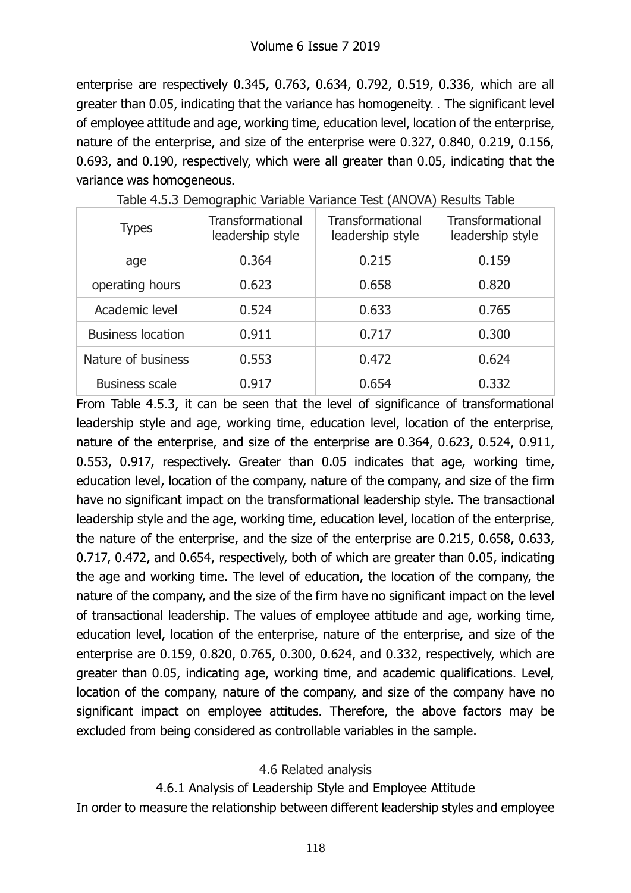enterprise are respectively 0.345, 0.763, 0.634, 0.792, 0.519, 0.336, which are all greater than 0.05, indicating that the variance has homogeneity. . The significant level of employee attitude and age, working time, education level, location of the enterprise, nature of the enterprise, and size of the enterprise were 0.327, 0.840, 0.219, 0.156, 0.693, and 0.190, respectively, which were all greater than 0.05, indicating that the variance was homogeneous.

| <b>Types</b>             | <b>Transformational</b><br>leadership style | Transformational<br>leadership style | Transformational<br>leadership style |
|--------------------------|---------------------------------------------|--------------------------------------|--------------------------------------|
| age                      | 0.364                                       | 0.215                                | 0.159                                |
| operating hours          | 0.623                                       | 0.658                                | 0.820                                |
| Academic level           | 0.524                                       | 0.633                                | 0.765                                |
| <b>Business location</b> | 0.911                                       | 0.717                                | 0.300                                |
| Nature of business       | 0.553                                       | 0.472                                | 0.624                                |
| <b>Business scale</b>    | 0.917                                       | 0.654                                | 0.332                                |

Table 4.5.3 Demographic Variable Variance Test (ANOVA) Results Table

From Table 4.5.3, it can be seen that the level of significance of transformational leadership style and age, working time, education level, location of the enterprise, nature of the enterprise, and size of the enterprise are 0.364, 0.623, 0.524, 0.911, 0.553, 0.917, respectively. Greater than 0.05 indicates that age, working time, education level, location of the company, nature of the company, and size of the firm have no significant impact on the transformational leadership style. The transactional leadership style and the age, working time, education level, location of the enterprise, the nature of the enterprise, and the size of the enterprise are 0.215, 0.658, 0.633, 0.717, 0.472, and 0.654, respectively, both of which are greater than 0.05, indicating the age and working time. The level of education, the location of the company, the nature of the company, and the size of the firm have no significant impact on the level of transactional leadership. The values of employee attitude and age, working time, education level, location of the enterprise, nature of the enterprise, and size of the enterprise are 0.159, 0.820, 0.765, 0.300, 0.624, and 0.332, respectively, which are greater than 0.05, indicating age, working time, and academic qualifications. Level, location of the company, nature of the company, and size of the company have no significant impact on employee attitudes. Therefore, the above factors may be excluded from being considered as controllable variables in the sample.

#### 4.6 Related analysis

#### 4.6.1 Analysis of Leadership Style and Employee Attitude

In order to measure the relationship between different leadership styles and employee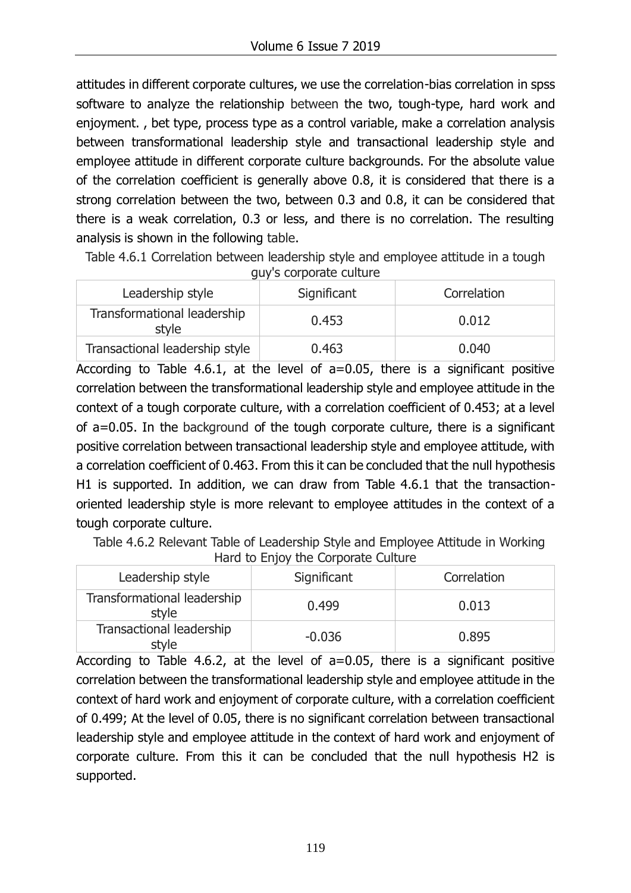attitudes in different corporate cultures, we use the correlation-bias correlation in spss software to analyze the relationship between the two, tough-type, hard work and enjoyment. , bet type, process type as a control variable, make a correlation analysis between transformational leadership style and transactional leadership style and employee attitude in different corporate culture backgrounds. For the absolute value of the correlation coefficient is generally above 0.8, it is considered that there is a strong correlation between the two, between 0.3 and 0.8, it can be considered that there is a weak correlation, 0.3 or less, and there is no correlation. The resulting analysis is shown in the following table.

Table 4.6.1 Correlation between leadership style and employee attitude in a tough guy's corporate culture

| ້<br>Leadership style                | Significant | Correlation |
|--------------------------------------|-------------|-------------|
| Transformational leadership<br>style | 0.453       | 0.012       |
| Transactional leadership style       | 0.463       | 0.040       |

According to Table 4.6.1, at the level of a=0.05, there is a significant positive correlation between the transformational leadership style and employee attitude in the context of a tough corporate culture, with a correlation coefficient of 0.453; at a level of a=0.05. In the background of the tough corporate culture, there is a significant positive correlation between transactional leadership style and employee attitude, with a correlation coefficient of 0.463. From this it can be concluded that the null hypothesis H1 is supported. In addition, we can draw from Table 4.6.1 that the transactionoriented leadership style is more relevant to employee attitudes in the context of a tough corporate culture.

 Table 4.6.2 Relevant Table of Leadership Style and Employee Attitude in Working Hard to Enjoy the Corporate Culture

| Leadership style                     | Significant | Correlation |
|--------------------------------------|-------------|-------------|
| Transformational leadership<br>style | 0.499       | 0.013       |
| Transactional leadership<br>style    | $-0.036$    | 0.895       |

According to Table 4.6.2, at the level of a=0.05, there is a significant positive correlation between the transformational leadership style and employee attitude in the context of hard work and enjoyment of corporate culture, with a correlation coefficient of 0.499; At the level of 0.05, there is no significant correlation between transactional leadership style and employee attitude in the context of hard work and enjoyment of corporate culture. From this it can be concluded that the null hypothesis H2 is supported.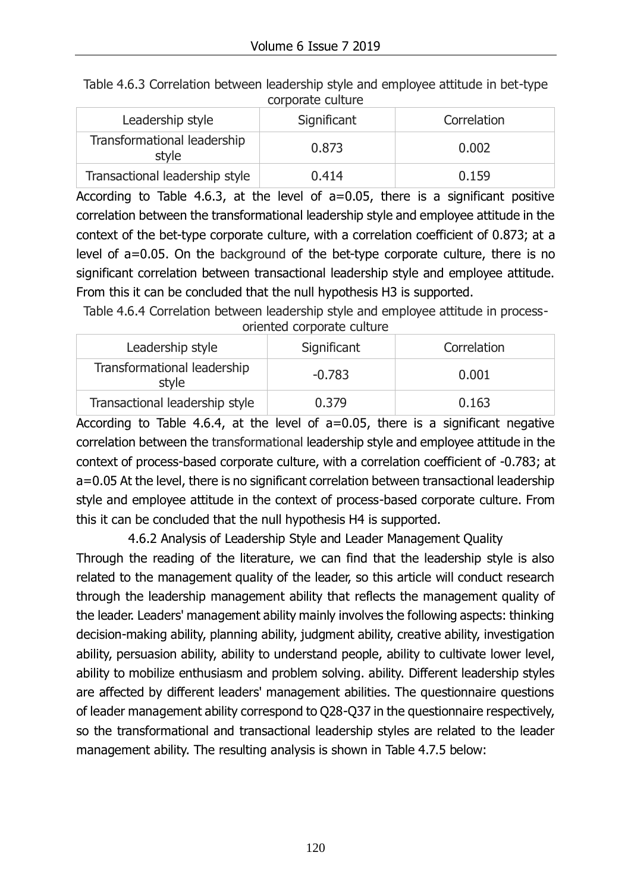| corporate culture                    |             |             |  |
|--------------------------------------|-------------|-------------|--|
| Leadership style                     | Significant | Correlation |  |
| Transformational leadership<br>style | 0.873       | 0.002       |  |
| Transactional leadership style       | 0.414       | 0.159       |  |

Table 4.6.3 Correlation between leadership style and employee attitude in bet-type corporate culture

According to Table 4.6.3, at the level of a=0.05, there is a significant positive correlation between the transformational leadership style and employee attitude in the context of the bet-type corporate culture, with a correlation coefficient of 0.873; at a level of a=0.05. On the background of the bet-type corporate culture, there is no significant correlation between transactional leadership style and employee attitude. From this it can be concluded that the null hypothesis H3 is supported.

Table 4.6.4 Correlation between leadership style and employee attitude in process-

| ononcea corporate cantare            |             |             |  |
|--------------------------------------|-------------|-------------|--|
| Leadership style                     | Significant | Correlation |  |
| Transformational leadership<br>style | $-0.783$    | 0.001       |  |
| Transactional leadership style       | 0.379       | 0.163       |  |

oriented corporate culture

According to Table 4.6.4, at the level of a=0.05, there is a significant negative correlation between the transformational leadership style and employee attitude in the context of process-based corporate culture, with a correlation coefficient of -0.783; at a=0.05 At the level, there is no significant correlation between transactional leadership style and employee attitude in the context of process-based corporate culture. From this it can be concluded that the null hypothesis H4 is supported.

4.6.2 Analysis of Leadership Style and Leader Management Quality Through the reading of the literature, we can find that the leadership style is also related to the management quality of the leader, so this article will conduct research through the leadership management ability that reflects the management quality of the leader. Leaders' management ability mainly involves the following aspects: thinking decision-making ability, planning ability, judgment ability, creative ability, investigation ability, persuasion ability, ability to understand people, ability to cultivate lower level, ability to mobilize enthusiasm and problem solving. ability. Different leadership styles are affected by different leaders' management abilities. The questionnaire questions of leader management ability correspond to Q28-Q37 in the questionnaire respectively, so the transformational and transactional leadership styles are related to the leader management ability. The resulting analysis is shown in Table 4.7.5 below: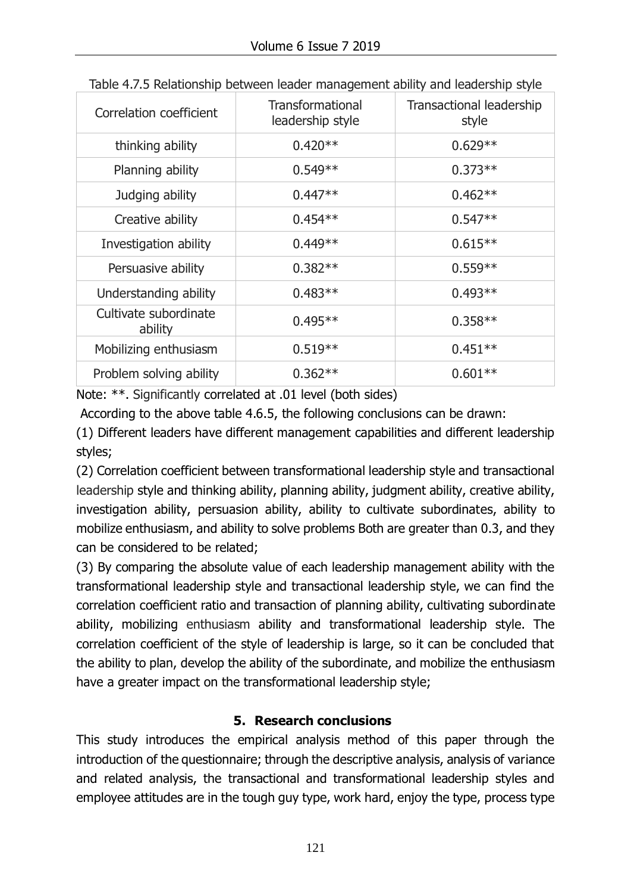| Correlation coefficient          | <b>Transformational</b><br>leadership style | Transactional leadership<br>style |
|----------------------------------|---------------------------------------------|-----------------------------------|
| thinking ability                 | $0.420**$                                   | $0.629**$                         |
| Planning ability                 | $0.549**$                                   | $0.373**$                         |
| Judging ability                  | $0.447**$                                   | $0.462**$                         |
| Creative ability                 | $0.454**$                                   | $0.547**$                         |
| Investigation ability            | $0.449**$                                   | $0.615**$                         |
| Persuasive ability               | $0.382**$                                   | $0.559**$                         |
| Understanding ability            | $0.483**$                                   | $0.493**$                         |
| Cultivate subordinate<br>ability | $0.495**$                                   | $0.358**$                         |
| Mobilizing enthusiasm            | $0.519**$                                   | $0.451**$                         |
| Problem solving ability          | $0.362**$                                   | $0.601**$                         |

Table 4.7.5 Relationship between leader management ability and leadership style

Note: \*\*. Significantly correlated at .01 level (both sides)

According to the above table 4.6.5, the following conclusions can be drawn:

(1) Different leaders have different management capabilities and different leadership styles;

(2) Correlation coefficient between transformational leadership style and transactional leadership style and thinking ability, planning ability, judgment ability, creative ability, investigation ability, persuasion ability, ability to cultivate subordinates, ability to mobilize enthusiasm, and ability to solve problems Both are greater than 0.3, and they can be considered to be related;

(3) By comparing the absolute value of each leadership management ability with the transformational leadership style and transactional leadership style, we can find the correlation coefficient ratio and transaction of planning ability, cultivating subordinate ability, mobilizing enthusiasm ability and transformational leadership style. The correlation coefficient of the style of leadership is large, so it can be concluded that the ability to plan, develop the ability of the subordinate, and mobilize the enthusiasm have a greater impact on the transformational leadership style;

## **5. Research conclusions**

This study introduces the empirical analysis method of this paper through the introduction of the questionnaire; through the descriptive analysis, analysis of variance and related analysis, the transactional and transformational leadership styles and employee attitudes are in the tough guy type, work hard, enjoy the type, process type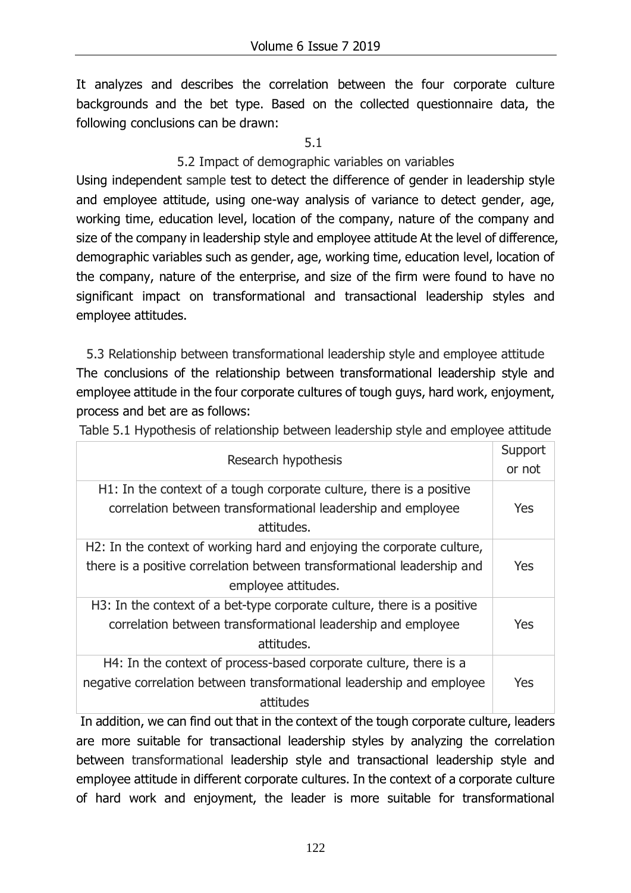It analyzes and describes the correlation between the four corporate culture backgrounds and the bet type. Based on the collected questionnaire data, the following conclusions can be drawn:

5.1

### 5.2 Impact of demographic variables on variables

Using independent sample test to detect the difference of gender in leadership style and employee attitude, using one-way analysis of variance to detect gender, age, working time, education level, location of the company, nature of the company and size of the company in leadership style and employee attitude At the level of difference, demographic variables such as gender, age, working time, education level, location of the company, nature of the enterprise, and size of the firm were found to have no significant impact on transformational and transactional leadership styles and employee attitudes.

5.3 Relationship between transformational leadership style and employee attitude The conclusions of the relationship between transformational leadership style and employee attitude in the four corporate cultures of tough guys, hard work, enjoyment, process and bet are as follows:

Table 5.1 Hypothesis of relationship between leadership style and employee attitude

| Research hypothesis                                                                                                                                                      |     |
|--------------------------------------------------------------------------------------------------------------------------------------------------------------------------|-----|
| H1: In the context of a tough corporate culture, there is a positive<br>correlation between transformational leadership and employee<br>attitudes.                       | Yes |
| H2: In the context of working hard and enjoying the corporate culture,<br>there is a positive correlation between transformational leadership and<br>employee attitudes. | Yes |
| H3: In the context of a bet-type corporate culture, there is a positive<br>correlation between transformational leadership and employee<br>attitudes.                    | Yes |
| H4: In the context of process-based corporate culture, there is a<br>negative correlation between transformational leadership and employee<br>attitudes                  | Yes |

In addition, we can find out that in the context of the tough corporate culture, leaders are more suitable for transactional leadership styles by analyzing the correlation between transformational leadership style and transactional leadership style and employee attitude in different corporate cultures. In the context of a corporate culture of hard work and enjoyment, the leader is more suitable for transformational